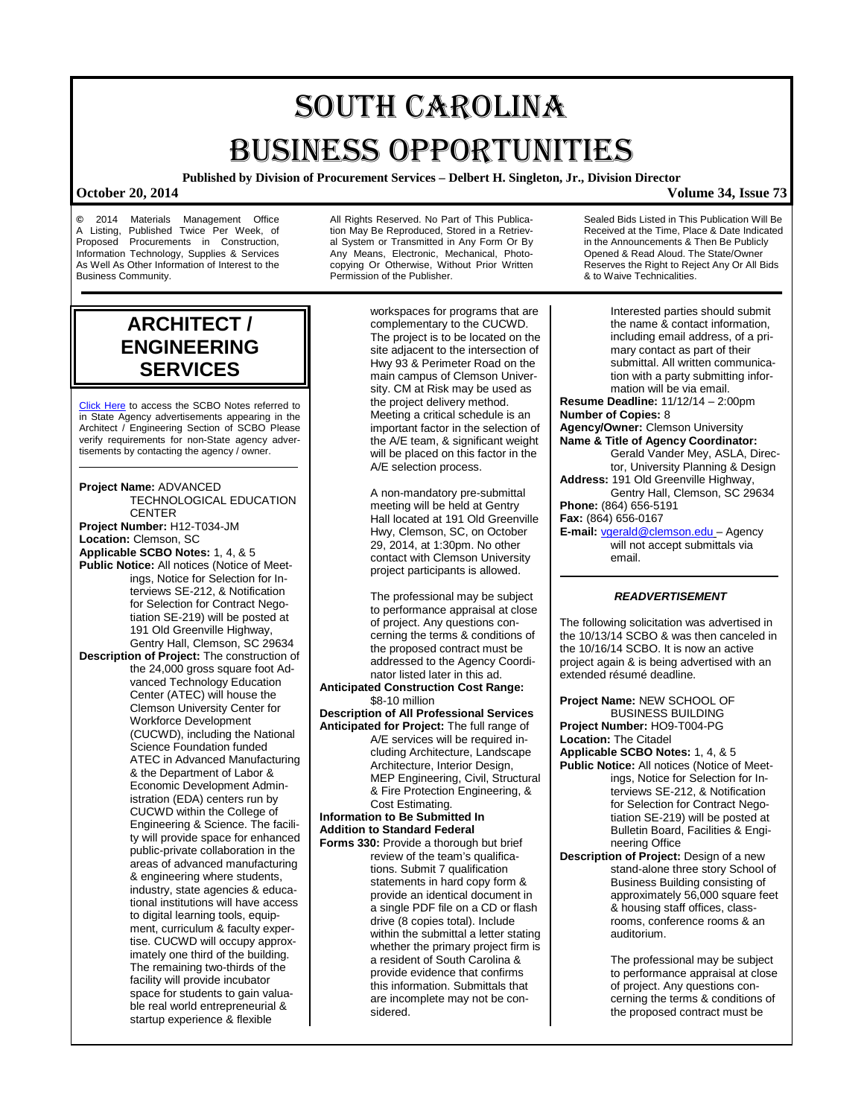# SOUTH CAROLINA BUSINESS OPPORTUNITIES

**Published by Division of Procurement Services – Delbert H. Singleton, Jr., Division Director**

### **October 20, 2014 Volume 34, Issue 73**

**©** 2014 Materials Management Office A Listing, Published Twice Per Week, of Proposed Procurements in Construction. Procurements in Construction, Information Technology, Supplies & Services As Well As Other Information of Interest to the Business Community.

All Rights Reserved. No Part of This Publication May Be Reproduced, Stored in a Retrieval System or Transmitted in Any Form Or By Any Means, Electronic, Mechanical, Photocopying Or Otherwise, Without Prior Written Permission of the Publisher.

workspaces for programs that are complementary to the CUCWD.

The project is to be located on the site adjacent to the intersection of Hwy 93 & Perimeter Road on the main campus of Clemson University. CM at Risk may be used as the project delivery method. Meeting a critical schedule is an important factor in the selection of the A/E team, & significant weight will be placed on this factor in the A/E selection process.

A non-mandatory pre-submittal meeting will be held at Gentry Hall located at 191 Old Greenville Hwy, Clemson, SC, on October 29, 2014, at 1:30pm. No other contact with Clemson University project participants is allowed.

The professional may be subject to performance appraisal at close of project. Any questions concerning the terms & conditions of the proposed contract must be addressed to the Agency Coordinator listed later in this ad.

**Anticipated Construction Cost Range:** \$8-10 million

**Description of All Professional Services Anticipated for Project:** The full range of A/E services will be required including Architecture, Landscape

Architecture, Interior Design, MEP Engineering, Civil, Structural & Fire Protection Engineering, & Cost Estimating.

**Information to Be Submitted In Addition to Standard Federal** 

**Forms 330:** Provide a thorough but brief review of the team's qualifications. Submit 7 qualification statements in hard copy form & provide an identical document in a single PDF file on a CD or flash drive (8 copies total). Include within the submittal a letter stating whether the primary project firm is a resident of South Carolina & provide evidence that confirms this information. Submittals that are incomplete may not be considered.

Received at the Time, Place & Date Indicated in the Announcements & Then Be Publicly Opened & Read Aloud. The State/Owner Reserves the Right to Reject Any Or All Bids & to Waive Technicalities.

Interested parties should submit

Sealed Bids Listed in This Publication Will Be

the name & contact information, including email address, of a primary contact as part of their submittal. All written communication with a party submitting information will be via email. **Resume Deadline:** 11/12/14 – 2:00pm **Number of Copies:** 8 **Agency/Owner:** Clemson University **Name & Title of Agency Coordinator:** Gerald Vander Mey, ASLA, Director, University Planning & Design **Address:** 191 Old Greenville Highway, Gentry Hall, Clemson, SC 29634 **Phone:** (864) 656-5191 **Fax:** (864) 656-0167 **E-mail:** [vgerald@clemson.edu](mailto:vgerald@clemson.edu) – Agency will not accept submittals via email.

### *READVERTISEMENT*

The following solicitation was advertised in the 10/13/14 SCBO & was then canceled in the 10/16/14 SCBO. It is now an active project again & is being advertised with an extended résumé deadline.

**Project Name:** NEW SCHOOL OF BUSINESS BUILDING **Project Number:** HO9-T004-PG **Location:** The Citadel

**Applicable SCBO Notes:** 1, 4, & 5 **Public Notice:** All notices (Notice of Meetings, Notice for Selection for Interviews SE-212, & Notification for Selection for Contract Negotiation SE-219) will be posted at Bulletin Board, Facilities & Engineering Office

**Description of Project:** Design of a new stand-alone three story School of Business Building consisting of approximately 56,000 square feet & housing staff offices, classrooms, conference rooms & an auditorium.

> The professional may be subject to performance appraisal at close of project. Any questions concerning the terms & conditions of the proposed contract must be

## **ENGINEERING SERVICES** [Click Here](http://www.mmo.sc.gov/PS/general/scbo/SCBO_Notes_060512.pdf) to access the SCBO Notes referred to

**ARCHITECT /**

in State Agency advertisements appearing in the Architect / Engineering Section of SCBO Please verify requirements for non-State agency advertisements by contacting the agency / owner.

**Project Name:** ADVANCED TECHNOLOGICAL EDUCATION **CENTER Project Number:** H12-T034-JM **Location:** Clemson, SC **Applicable SCBO Notes:** 1, 4, & 5 **Public Notice:** All notices (Notice of Meetings, Notice for Selection for Interviews SE-212, & Notification for Selection for Contract Negotiation SE-219) will be posted at 191 Old Greenville Highway, Gentry Hall, Clemson, SC 29634 **Description of Project:** The construction of the 24,000 gross square foot Advanced Technology Education Center (ATEC) will house the Clemson University Center for Workforce Development (CUCWD), including the National Science Foundation funded ATEC in Advanced Manufacturing & the Department of Labor & Economic Development Administration (EDA) centers run by CUCWD within the College of Engineering & Science. The facility will provide space for enhanced public-private collaboration in the areas of advanced manufacturing & engineering where students, industry, state agencies & educational institutions will have access to digital learning tools, equipment, curriculum & faculty expertise. CUCWD will occupy approximately one third of the building. The remaining two-thirds of the facility will provide incubator space for students to gain valuable real world entrepreneurial & startup experience & flexible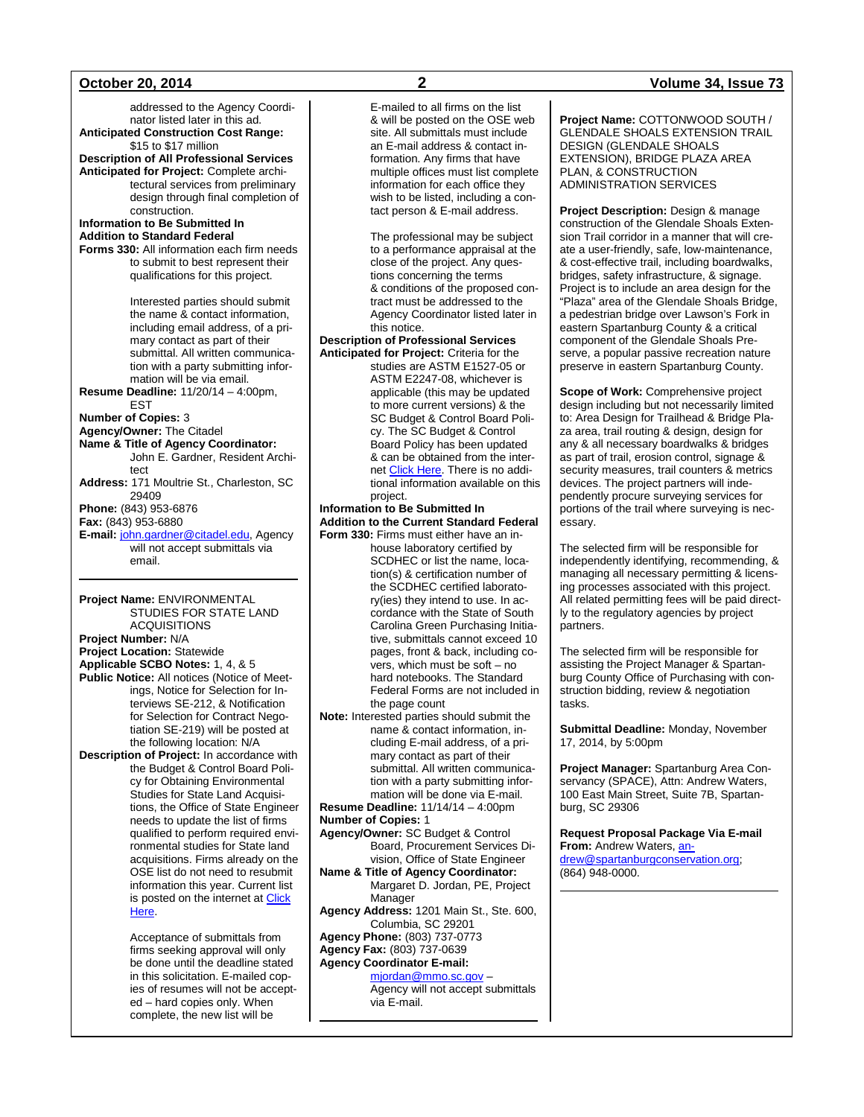addressed to the Agency Coordinator listed later in this ad. **Anticipated Construction Cost Range:** \$15 to \$17 million **Description of All Professional Services Anticipated for Project:** Complete architectural services from preliminary design through final completion of construction. **Information to Be Submitted In Addition to Standard Federal Forms 330:** All information each firm needs to submit to best represent their qualifications for this project. Interested parties should submit the name & contact information, including email address, of a primary contact as part of their submittal. All written communication with a party submitting information will be via email. **Resume Deadline:** 11/20/14 – 4:00pm, EST **Number of Copies:** 3 **Agency/Owner:** The Citadel **Name & Title of Agency Coordinator:** John E. Gardner, Resident Architect **Address:** 171 Moultrie St., Charleston, SC 29409 **Phone:** (843) 953-6876 **Fax:** (843) 953-6880 **E-mail:** [john.gardner@citadel.edu,](mailto:john.gardner@citadel.edu) Agency will not accept submittals via email. **Project Name:** ENVIRONMENTAL

STUDIES FOR STATE LAND ACQUISITIONS **Project Number:** N/A **Project Location:** Statewide **Applicable SCBO Notes:** 1, 4, & 5

**Public Notice:** All notices (Notice of Meetings, Notice for Selection for Interviews SE-212, & Notification for Selection for Contract Negotiation SE-219) will be posted at the following location: N/A

**Description of Project:** In accordance with the Budget & Control Board Policy for Obtaining Environmental Studies for State Land Acquisitions, the Office of State Engineer needs to update the list of firms qualified to perform required environmental studies for State land acquisitions. Firms already on the OSE list do not need to resubmit information this year. Current list is posted on the internet at [Click](http://procurement.sc.gov/webfiles/OSE_main/Inspections/2013_Firms_Qualified_to_Perform_Environmental_Studies_for_Land_Acquisitions.pdf)  [Here.](http://procurement.sc.gov/webfiles/OSE_main/Inspections/2013_Firms_Qualified_to_Perform_Environmental_Studies_for_Land_Acquisitions.pdf)

> Acceptance of submittals from firms seeking approval will only be done until the deadline stated in this solicitation. E-mailed copies of resumes will not be accepted – hard copies only. When complete, the new list will be

E-mailed to all firms on the list & will be posted on the OSE web site. All submittals must include an E-mail address & contact information. Any firms that have multiple offices must list complete information for each office they wish to be listed, including a contact person & E-mail address.

The professional may be subject to a performance appraisal at the close of the project. Any questions concerning the terms & conditions of the proposed contract must be addressed to the Agency Coordinator listed later in this notice.

**Description of Professional Services Anticipated for Project:** Criteria for the

studies are ASTM E1527-05 or ASTM E2247-08, whichever is applicable (this may be updated to more current versions) & the SC Budget & Control Board Policy. The SC Budget & Control Board Policy has been updated & can be obtained from the internet [Click Here.](http://procurement.sc.gov/webfiles/OSE_main/Inspections/Policy97-rev2010.pdf) There is no additional information available on this project.

### **Information to Be Submitted In Addition to the Current Standard Federal Form 330:** Firms must either have an in-

house laboratory certified by SCDHEC or list the name, location(s) & certification number of the SCDHEC certified laboratory(ies) they intend to use. In accordance with the State of South Carolina Green Purchasing Initiative, submittals cannot exceed 10 pages, front & back, including covers, which must be soft – no hard notebooks. The Standard Federal Forms are not included in the page count

**Note:** Interested parties should submit the name & contact information, including E-mail address, of a primary contact as part of their submittal. All written communication with a party submitting information will be done via E-mail.

**Resume Deadline:** 11/14/14 – 4:00pm **Number of Copies:** 1

- **Agency/Owner:** SC Budget & Control Board, Procurement Services Division, Office of State Engineer
- **Name & Title of Agency Coordinator:** Margaret D. Jordan, PE, Project Manager
- **Agency Address:** 1201 Main St., Ste. 600, Columbia, SC 29201

**Agency Phone:** (803) 737-0773 **Agency Fax:** (803) 737-0639

### **Agency Coordinator E-mail:** [mjordan@mmo.sc.gov](mailto:mjordan@mmo.sc.gov) –

Agency will not accept submittals via E-mail.

### **October 20, 2014 2 Volume 34, Issue 73**

**Project Name:** COTTONWOOD SOUTH / GLENDALE SHOALS EXTENSION TRAIL DESIGN (GLENDALE SHOALS EXTENSION), BRIDGE PLAZA AREA PLAN, & CONSTRUCTION ADMINISTRATION SERVICES

**Project Description:** Design & manage construction of the Glendale Shoals Extension Trail corridor in a manner that will create a user-friendly, safe, low-maintenance, & cost-effective trail, including boardwalks, bridges, safety infrastructure, & signage. Project is to include an area design for the "Plaza" area of the Glendale Shoals Bridge, a pedestrian bridge over Lawson's Fork in eastern Spartanburg County & a critical component of the Glendale Shoals Preserve, a popular passive recreation nature preserve in eastern Spartanburg County.

**Scope of Work:** Comprehensive project design including but not necessarily limited to: Area Design for Trailhead & Bridge Plaza area, trail routing & design, design for any & all necessary boardwalks & bridges as part of trail, erosion control, signage & security measures, trail counters & metrics devices. The project partners will independently procure surveying services for portions of the trail where surveying is necessary.

The selected firm will be responsible for independently identifying, recommending, & managing all necessary permitting & licensing processes associated with this project. All related permitting fees will be paid directly to the regulatory agencies by project partners.

The selected firm will be responsible for assisting the Project Manager & Spartanburg County Office of Purchasing with construction bidding, review & negotiation tasks.

**Submittal Deadline:** Monday, November 17, 2014, by 5:00pm

**Project Manager:** Spartanburg Area Conservancy (SPACE), Attn: Andrew Waters, 100 East Main Street, Suite 7B, Spartanburg, SC 29306

**Request Proposal Package Via E-mail**  From: Andrew Waters, [an](mailto:andrew@spartanburgconservation.org)[drew@spartanburgconservation.org;](mailto:andrew@spartanburgconservation.org) (864) 948-0000.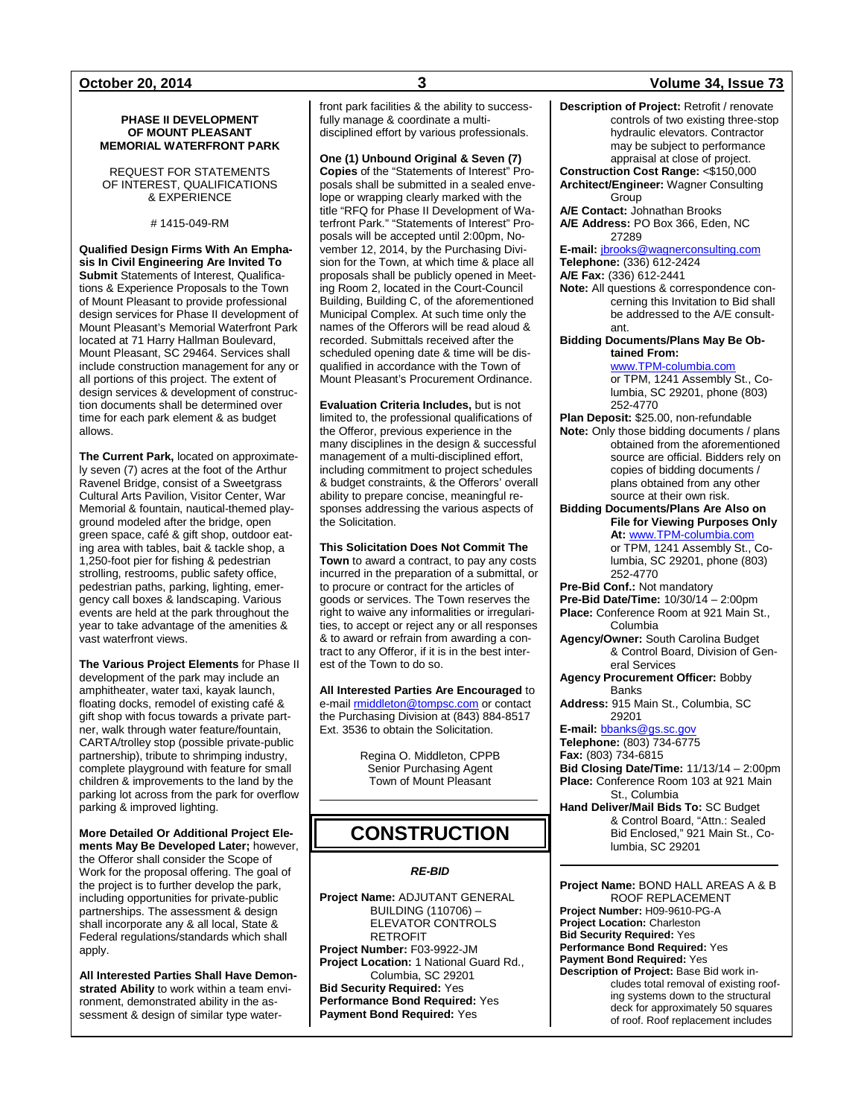### **PHASE II DEVELOPMENT OF MOUNT PLEASANT MEMORIAL WATERFRONT PARK**

REQUEST FOR STATEMENTS OF INTEREST, QUALIFICATIONS & EXPERIENCE

# 1415-049-RM

**Qualified Design Firms With An Emphasis In Civil Engineering Are Invited To Submit** Statements of Interest, Qualifications & Experience Proposals to the Town of Mount Pleasant to provide professional design services for Phase II development of Mount Pleasant's Memorial Waterfront Park located at 71 Harry Hallman Boulevard, Mount Pleasant, SC 29464. Services shall include construction management for any or all portions of this project. The extent of design services & development of construction documents shall be determined over time for each park element & as budget allows.

**The Current Park,** located on approximately seven (7) acres at the foot of the Arthur Ravenel Bridge, consist of a Sweetgrass Cultural Arts Pavilion, Visitor Center, War Memorial & fountain, nautical-themed playground modeled after the bridge, open green space, café & gift shop, outdoor eating area with tables, bait & tackle shop, a 1,250-foot pier for fishing & pedestrian strolling, restrooms, public safety office, pedestrian paths, parking, lighting, emergency call boxes & landscaping. Various events are held at the park throughout the year to take advantage of the amenities & vast waterfront views.

**The Various Project Elements** for Phase II development of the park may include an amphitheater, water taxi, kayak launch, floating docks, remodel of existing café & gift shop with focus towards a private partner, walk through water feature/fountain, CARTA/trolley stop (possible private-public partnership), tribute to shrimping industry, complete playground with feature for small children & improvements to the land by the parking lot across from the park for overflow parking & improved lighting.

**More Detailed Or Additional Project Elements May Be Developed Later;** however, the Offeror shall consider the Scope of Work for the proposal offering. The goal of the project is to further develop the park, including opportunities for private-public partnerships. The assessment & design shall incorporate any & all local, State & Federal regulations/standards which shall apply.

**All Interested Parties Shall Have Demonstrated Ability** to work within a team environment, demonstrated ability in the assessment & design of similar type waterfront park facilities & the ability to successfully manage & coordinate a multidisciplined effort by various professionals.

**One (1) Unbound Original & Seven (7) Copies** of the "Statements of Interest" Proposals shall be submitted in a sealed envelope or wrapping clearly marked with the title "RFQ for Phase II Development of Waterfront Park." "Statements of Interest" Proposals will be accepted until 2:00pm, November 12, 2014, by the Purchasing Division for the Town, at which time & place all proposals shall be publicly opened in Meeting Room 2, located in the Court-Council Building, Building C, of the aforementioned Municipal Complex. At such time only the names of the Offerors will be read aloud & recorded. Submittals received after the scheduled opening date & time will be disqualified in accordance with the Town of Mount Pleasant's Procurement Ordinance.

**Evaluation Criteria Includes,** but is not limited to, the professional qualifications of the Offeror, previous experience in the many disciplines in the design & successful management of a multi-disciplined effort, including commitment to project schedules & budget constraints, & the Offerors' overall ability to prepare concise, meaningful responses addressing the various aspects of the Solicitation.

**This Solicitation Does Not Commit The** 

**Town** to award a contract, to pay any costs incurred in the preparation of a submittal, or to procure or contract for the articles of goods or services. The Town reserves the right to waive any informalities or irregularities, to accept or reject any or all responses & to award or refrain from awarding a contract to any Offeror, if it is in the best interest of the Town to do so.

**All Interested Parties Are Encouraged** to e-mai[l rmiddleton@tompsc.com](mailto:rmiddleton@tompsc.com) or contact the Purchasing Division at (843) 884-8517 Ext. 3536 to obtain the Solicitation.

> Regina O. Middleton, CPPB Senior Purchasing Agent Town of Mount Pleasant

## **CONSTRUCTION**

### *RE-BID*

**Project Name:** ADJUTANT GENERAL BUILDING (110706) – ELEVATOR CONTROLS RETROFIT **Project Number:** F03-9922-JM **Project Location:** 1 National Guard Rd., Columbia, SC 29201 **Bid Security Required:** Yes **Performance Bond Required:** Yes **Payment Bond Required:** Yes

**October 20, 2014 3 Volume 34, Issue 73 Description of Project:** Retrofit / renovate controls of two existing three-stop hydraulic elevators. Contractor may be subject to performance appraisal at close of project. **Construction Cost Range:** <\$150,000 **Architect/Engineer:** Wagner Consulting Group **A/E Contact:** Johnathan Brooks **A/E Address:** PO Box 366, Eden, NC 27289 **E-mail:** [jbrooks@wagnerconsulting.com](mailto:jbrooks@wagnerconsulting.com) **Telephone:** (336) 612-2424 **A/E Fax:** (336) 612-2441 **Note:** All questions & correspondence concerning this Invitation to Bid shall be addressed to the A/E consultant. **Bidding Documents/Plans May Be Obtained From:** [www.TPM-columbia.com](http://www.tpm-columbia.com/) or TPM, 1241 Assembly St., Columbia, SC 29201, phone (803) 252-4770 **Plan Deposit:** \$25.00, non-refundable **Note:** Only those bidding documents / plans obtained from the aforementioned source are official. Bidders rely on copies of bidding documents / plans obtained from any other source at their own risk. **Bidding Documents/Plans Are Also on File for Viewing Purposes Only At:** [www.TPM-columbia.com](http://www.tpm-columbia.com/) or TPM, 1241 Assembly St., Columbia, SC 29201, phone (803) 252-4770 **Pre-Bid Conf.:** Not mandatory **Pre-Bid Date/Time:** 10/30/14 – 2:00pm **Place:** Conference Room at 921 Main St., Columbia **Agency/Owner:** South Carolina Budget & Control Board, Division of General Services **Agency Procurement Officer:** Bobby **Banks Address:** 915 Main St., Columbia, SC 29201 **E-mail:** [bbanks@gs.sc.gov](mailto:bbanks@gs.sc.gov) **Telephone:** (803) 734-6775 **Fax:** (803) 734-6815 **Bid Closing Date/Time:** 11/13/14 – 2:00pm **Place:** Conference Room 103 at 921 Main St., Columbia **Hand Deliver/Mail Bids To:** SC Budget & Control Board, "Attn.: Sealed Bid Enclosed," 921 Main St., Columbia, SC 29201

> **Project Name:** BOND HALL AREAS A & B ROOF REPLACEMENT **Project Number:** H09-9610-PG-A **Project Location:** Charleston **Bid Security Required:** Yes **Performance Bond Required:** Yes **Payment Bond Required:** Yes **Description of Project:** Base Bid work includes total removal of existing roofing systems down to the structural deck for approximately 50 squares of roof. Roof replacement includes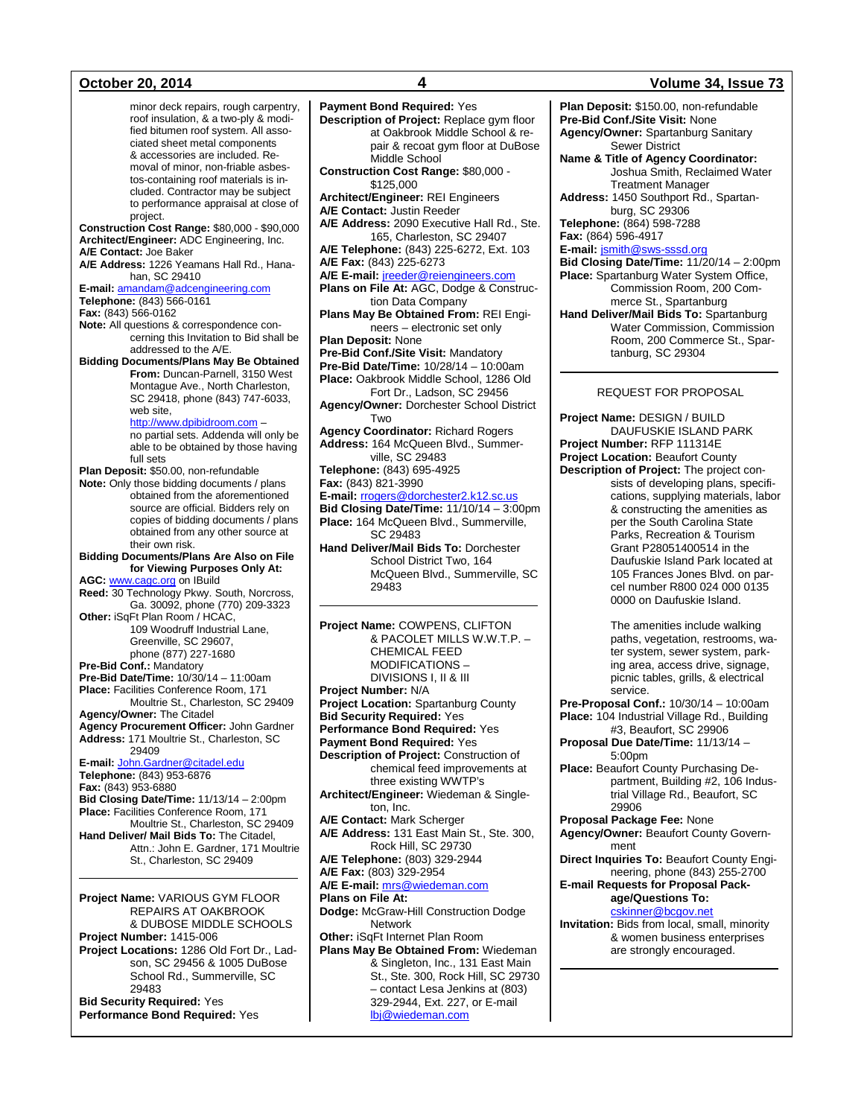minor deck repairs, rough carpentry, roof insulation, & a two-ply & modified bitumen roof system. All associated sheet metal components & accessories are included. Removal of minor, non-friable asbestos-containing roof materials is included. Contractor may be subject to performance appraisal at close of project. **Construction Cost Range:** \$80,000 - \$90,000 **Architect/Engineer:** ADC Engineering, Inc. **A/E Contact:** Joe Baker **A/E Address:** 1226 Yeamans Hall Rd., Hanahan, SC 29410 **E-mail:** [amandam@adcengineering.com](mailto:amandam@adcengineering.com) **Telephone:** (843) 566-0161 **Fax:** (843) 566-0162 **Note:** All questions & correspondence concerning this Invitation to Bid shall be addressed to the A/E. **Bidding Documents/Plans May Be Obtained From:** Duncan-Parnell, 3150 West Montague Ave., North Charleston, SC 29418, phone (843) 747-6033, web site, [http://www.dpibidroom.com](http://www.dpibidroom.com/) – no partial sets. Addenda will only be able to be obtained by those having full sets **Plan Deposit:** \$50.00, non-refundable **Note:** Only those bidding documents / plans obtained from the aforementioned source are official. Bidders rely on copies of bidding documents / plans obtained from any other source at their own risk. **Bidding Documents/Plans Are Also on File for Viewing Purposes Only At: AGC:** [www.cagc.org](http://www.cagc.org/) on IBuild **Reed:** 30 Technology Pkwy. South, Norcross, Ga. 30092, phone (770) 209-3323 **Other:** iSqFt Plan Room / HCAC, 109 Woodruff Industrial Lane, Greenville, SC 29607, phone (877) 227-1680 **Pre-Bid Conf.:** Mandatory **Pre-Bid Date/Time:** 10/30/14 – 11:00am **Place:** Facilities Conference Room, 171 Moultrie St., Charleston, SC 29409 **Agency/Owner:** The Citadel **Agency Procurement Officer:** John Gardner **Address:** 171 Moultrie St., Charleston, SC 29409 **E-mail:** [John.Gardner@citadel.edu](mailto:John.Gardner@citadel.edu) **Telephone:** (843) 953-6876 **Fax:** (843) 953-6880 **Bid Closing Date/Time:** 11/13/14 – 2:00pm **Place:** Facilities Conference Room, 171 Moultrie St., Charleston, SC 29409 **Hand Deliver/ Mail Bids To:** The Citadel, Attn.: John E. Gardner, 171 Moultrie St., Charleston, SC 29409 **Project Name:** VARIOUS GYM FLOOR

REPAIRS AT OAKBROOK & DUBOSE MIDDLE SCHOOLS **Project Number:** 1415-006 **Project Locations:** 1286 Old Fort Dr., Ladson, SC 29456 & 1005 DuBose School Rd., Summerville, SC 29483 **Bid Security Required:** Yes **Performance Bond Required:** Yes

**Payment Bond Required:** Yes **Description of Project:** Replace gym floor at Oakbrook Middle School & repair & recoat gym floor at DuBose Middle School **Construction Cost Range:** \$80,000 - \$125,000 **Architect/Engineer:** REI Engineers **A/E Contact:** Justin Reeder **A/E Address:** 2090 Executive Hall Rd., Ste. 165, Charleston, SC 29407 **A/E Telephone:** (843) 225-6272, Ext. 103 **A/E Fax:** (843) 225-6273 **A/E E-mail:** [jreeder@reiengineers.com](mailto:jreeder@reiengineers.com) **Plans on File At:** AGC, Dodge & Construction Data Company **Plans May Be Obtained From:** REI Engineers – electronic set only **Plan Deposit:** None **Pre-Bid Conf./Site Visit:** Mandatory **Pre-Bid Date/Time:** 10/28/14 – 10:00am **Place:** Oakbrook Middle School, 1286 Old Fort Dr., Ladson, SC 29456 **Agency/Owner:** Dorchester School District Two **Agency Coordinator:** Richard Rogers **Address:** 164 McQueen Blvd., Summerville, SC 29483 **Telephone:** (843) 695-4925 **Fax:** (843) 821-3990 **E-mail:** [rrogers@dorchester2.k12.sc.us](mailto:rrogers@dorchester2.k12.sc.us) **Bid Closing Date/Time:** 11/10/14 – 3:00pm **Place:** 164 McQueen Blvd., Summerville, SC 29483 **Hand Deliver/Mail Bids To:** Dorchester School District Two, 164 McQueen Blvd., Summerville, SC 29483 **Project Name:** COWPENS, CLIFTON & PACOLET MILLS W.W.T.P. – CHEMICAL FEED MODIFICATIONS – DIVISIONS I, II & III **Project Number:** N/A **Project Location:** Spartanburg County **Bid Security Required:** Yes **Performance Bond Required:** Yes **Payment Bond Required:** Yes **Description of Project:** Construction of chemical feed improvements at three existing WWTP's **Architect/Engineer:** Wiedeman & Singleton, Inc. **A/E Contact:** Mark Scherger **A/E Address:** 131 East Main St., Ste. 300, Rock Hill, SC 29730 **A/E Telephone:** (803) 329-2944 **A/E Fax:** (803) 329-2954 **A/E E-mail:** [mrs@wiedeman.com](mailto:mrs@wiedeman.com) **Plans on File At: Dodge:** McGraw-Hill Construction Dodge Network **Other:** iSqFt Internet Plan Room **Plans May Be Obtained From:** Wiedeman & Singleton, Inc., 131 East Main St., Ste. 300, Rock Hill, SC 29730 – contact Lesa Jenkins at (803) 329-2944, Ext. 227, or E-mail

[lbj@wiedeman.com](mailto:lbj@wiedeman.com)

### **October 20, 2014 4 Volume 34, Issue 73**

**Plan Deposit:** \$150.00, non-refundable **Pre-Bid Conf./Site Visit:** None **Agency/Owner:** Spartanburg Sanitary Sewer District **Name & Title of Agency Coordinator:** Joshua Smith, Reclaimed Water Treatment Manager **Address:** 1450 Southport Rd., Spartanburg, SC 29306 **Telephone:** (864) 598-7288 **Fax:** (864) 596-4917 **E-mail:** [jsmith@sws-sssd.org](mailto:jsmith@sws-sssd.org) **Bid Closing Date/Time:** 11/20/14 – 2:00pm **Place:** Spartanburg Water System Office, Commission Room, 200 Commerce St., Spartanburg **Hand Deliver/Mail Bids To:** Spartanburg Water Commission, Commission Room, 200 Commerce St., Spartanburg, SC 29304 REQUEST FOR PROPOSAL **Project Name:** DESIGN / BUILD DAUFUSKIE ISLAND PARK

**Project Number:** RFP 111314E **Project Location:** Beaufort County **Description of Project:** The project consists of developing plans, specifications, supplying materials, labor & constructing the amenities as per the South Carolina State Parks, Recreation & Tourism Grant P28051400514 in the Daufuskie Island Park located at 105 Frances Jones Blvd. on parcel number R800 024 000 0135

0000 on Daufuskie Island.

The amenities include walking paths, vegetation, restrooms, water system, sewer system, parking area, access drive, signage, picnic tables, grills, & electrical service.

**Pre-Proposal Conf.:** 10/30/14 – 10:00am **Place:** 104 Industrial Village Rd., Building #3, Beaufort, SC 29906

**Proposal Due Date/Time:** 11/13/14 – 5:00pm

**Place:** Beaufort County Purchasing Department, Building #2, 106 Industrial Village Rd., Beaufort, SC 29906

**Proposal Package Fee:** None

**Agency/Owner:** Beaufort County Government

**Direct Inquiries To:** Beaufort County Engineering, phone (843) 255-2700

**E-mail Requests for Proposal Package/Questions To:** [cskinner@bcgov.net](mailto:cskinner@bcgov.net) **Invitation:** Bids from local, small, minority

& women business enterprises are strongly encouraged.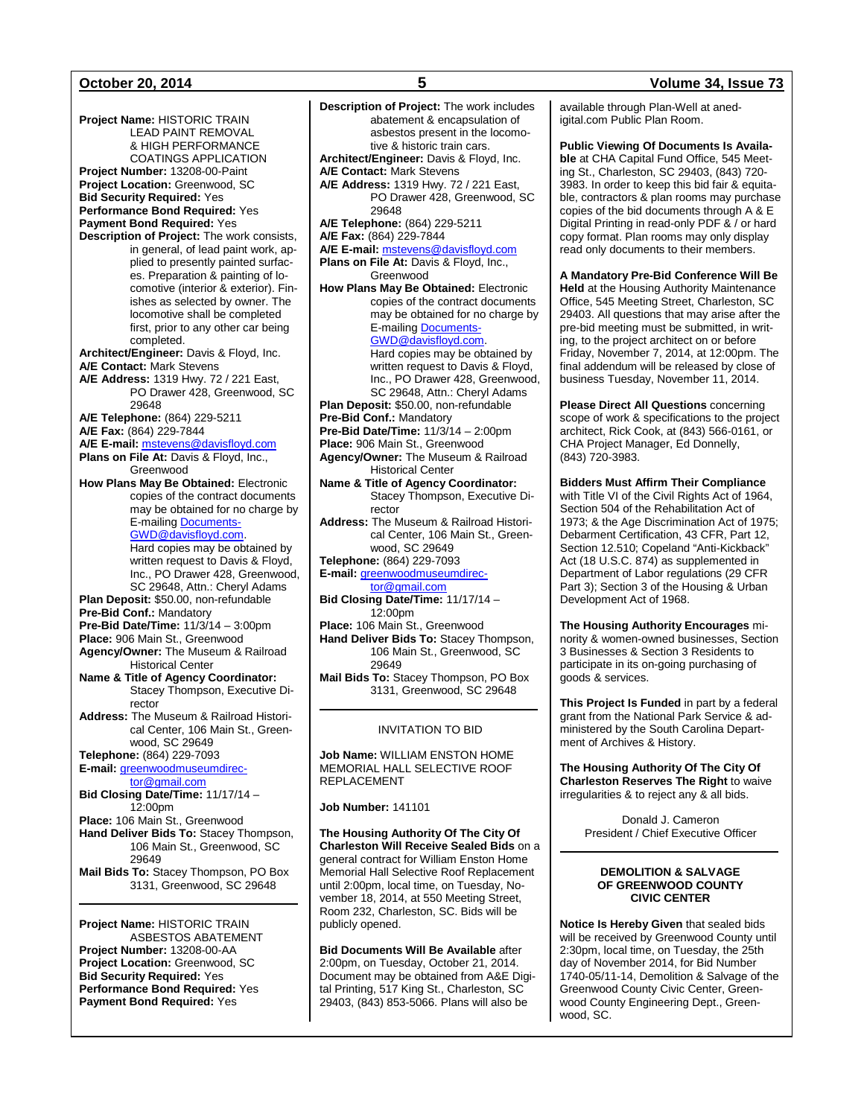### **October 20, 2014 5 Volume 34, Issue 73**

**Project Name:** HISTORIC TRAIN LEAD PAINT REMOVAL & HIGH PERFORMANCE COATINGS APPLICATION **Project Number:** 13208-00-Paint **Project Location:** Greenwood, SC **Bid Security Required:** Yes **Performance Bond Required:** Yes **Payment Bond Required:** Yes **Description of Project:** The work consists, in general, of lead paint work, applied to presently painted surfaces. Preparation & painting of locomotive (interior & exterior). Finishes as selected by owner. The locomotive shall be completed first, prior to any other car being completed. **Architect/Engineer:** Davis & Floyd, Inc. **A/E Contact:** Mark Stevens **A/E Address:** 1319 Hwy. 72 / 221 East, PO Drawer 428, Greenwood, SC 29648 **A/E Telephone:** (864) 229-5211 **A/E Fax:** (864) 229-7844 **A/E E-mail:** [mstevens@davisfloyd.com](mailto:mstevens@davisfloyd.com) Plans on File At: Davis & Floyd, Inc., Greenwood **How Plans May Be Obtained:** Electronic copies of the contract documents may be obtained for no charge by E-mailin[g Documents-](mailto:Documents-GWD@davisfloyd.com)[GWD@davisfloyd.com.](mailto:Documents-GWD@davisfloyd.com) Hard copies may be obtained by written request to Davis & Floyd, Inc., PO Drawer 428, Greenwood, SC 29648, Attn.: Cheryl Adams **Plan Deposit:** \$50.00, non-refundable **Pre-Bid Conf.:** Mandatory **Pre-Bid Date/Time:** 11/3/14 – 3:00pm **Place:** 906 Main St., Greenwood **Agency/Owner:** The Museum & Railroad Historical Center **Name & Title of Agency Coordinator:** Stacey Thompson, Executive Director **Address:** The Museum & Railroad Historical Center, 106 Main St., Greenwood, SC 29649 **Telephone:** (864) 229-7093 **E-mail:** [greenwoodmuseumdirec](mailto:greenwoodmuseumdirector@gmail.com)[tor@gmail.com](mailto:greenwoodmuseumdirector@gmail.com) **Bid Closing Date/Time:** 11/17/14 – 12:00pm **Place:** 106 Main St., Greenwood **Hand Deliver Bids To:** Stacey Thompson, 106 Main St., Greenwood, SC 29649 **Mail Bids To:** Stacey Thompson, PO Box 3131, Greenwood, SC 29648

**Project Name:** HISTORIC TRAIN ASBESTOS ABATEMENT **Project Number:** 13208-00-AA **Project Location:** Greenwood, SC **Bid Security Required:** Yes **Performance Bond Required:** Yes **Payment Bond Required:** Yes

**Description of Project:** The work includes abatement & encapsulation of asbestos present in the locomotive & historic train cars. **Architect/Engineer:** Davis & Floyd, Inc. **A/E Contact:** Mark Stevens **A/E Address:** 1319 Hwy. 72 / 221 East, PO Drawer 428, Greenwood, SC 29648 **A/E Telephone:** (864) 229-5211 **A/E Fax:** (864) 229-7844 **A/E E-mail:** [mstevens@davisfloyd.com](mailto:mstevens@davisfloyd.com) **Plans on File At:** Davis & Floyd, Inc., Greenwood **How Plans May Be Obtained:** Electronic copies of the contract documents may be obtained for no charge by E-mailin[g Documents-](mailto:Documents-GWD@davisfloyd.com)[GWD@davisfloyd.com.](mailto:Documents-GWD@davisfloyd.com) Hard copies may be obtained by written request to Davis & Floyd, Inc., PO Drawer 428, Greenwood, SC 29648, Attn.: Cheryl Adams **Plan Deposit:** \$50.00, non-refundable **Pre-Bid Conf.:** Mandatory **Pre-Bid Date/Time:** 11/3/14 - 2:00pm **Place:** 906 Main St., Greenwood **Agency/Owner:** The Museum & Railroad Historical Center **Name & Title of Agency Coordinator:** Stacey Thompson, Executive Director **Address:** The Museum & Railroad Historical Center, 106 Main St., Greenwood, SC 29649 **Telephone:** (864) 229-7093 **E-mail:** [greenwoodmuseumdirec](mailto:greenwoodmuseumdirector@gmail.com)[tor@gmail.com](mailto:greenwoodmuseumdirector@gmail.com) **Bid Closing Date/Time:** 11/17/14 – 12:00pm **Place:** 106 Main St., Greenwood **Hand Deliver Bids To:** Stacey Thompson, 106 Main St., Greenwood, SC

**Mail Bids To:** Stacey Thompson, PO Box 3131, Greenwood, SC 29648

### INVITATION TO BID

**Job Name:** WILLIAM ENSTON HOME MEMORIAL HALL SELECTIVE ROOF REPLACEMENT

**Job Number:** 141101

29649

**The Housing Authority Of The City Of Charleston Will Receive Sealed Bids** on a general contract for William Enston Home Memorial Hall Selective Roof Replacement until 2:00pm, local time, on Tuesday, November 18, 2014, at 550 Meeting Street, Room 232, Charleston, SC. Bids will be publicly opened.

**Bid Documents Will Be Available** after 2:00pm, on Tuesday, October 21, 2014. Document may be obtained from A&E Digital Printing, 517 King St., Charleston, SC 29403, (843) 853-5066. Plans will also be

available through Plan-Well at anedigital.com Public Plan Room.

**Public Viewing Of Documents Is Available** at CHA Capital Fund Office, 545 Meeting St., Charleston, SC 29403, (843) 720- 3983. In order to keep this bid fair & equitable, contractors & plan rooms may purchase copies of the bid documents through A & E Digital Printing in read-only PDF & / or hard copy format. Plan rooms may only display read only documents to their members.

**A Mandatory Pre-Bid Conference Will Be Held** at the Housing Authority Maintenance Office, 545 Meeting Street, Charleston, SC 29403. All questions that may arise after the pre-bid meeting must be submitted, in writing, to the project architect on or before Friday, November 7, 2014, at 12:00pm. The final addendum will be released by close of business Tuesday, November 11, 2014.

**Please Direct All Questions** concerning scope of work & specifications to the project architect, Rick Cook, at (843) 566-0161, or CHA Project Manager, Ed Donnelly, (843) 720-3983.

**Bidders Must Affirm Their Compliance**  with Title VI of the Civil Rights Act of 1964, Section 504 of the Rehabilitation Act of 1973; & the Age Discrimination Act of 1975; Debarment Certification, 43 CFR, Part 12, Section 12.510; Copeland "Anti-Kickback" Act (18 U.S.C. 874) as supplemented in Department of Labor regulations (29 CFR Part 3); Section 3 of the Housing & Urban Development Act of 1968.

**The Housing Authority Encourages** minority & women-owned businesses, Section 3 Businesses & Section 3 Residents to participate in its on-going purchasing of goods & services.

**This Project Is Funded** in part by a federal grant from the National Park Service & administered by the South Carolina Department of Archives & History.

**The Housing Authority Of The City Of Charleston Reserves The Right** to waive irregularities & to reject any & all bids.

> Donald J. Cameron President / Chief Executive Officer

### **DEMOLITION & SALVAGE OF GREENWOOD COUNTY CIVIC CENTER**

**Notice Is Hereby Given** that sealed bids will be received by Greenwood County until 2:30pm, local time, on Tuesday, the 25th day of November 2014, for Bid Number 1740-05/11-14, Demolition & Salvage of the Greenwood County Civic Center, Greenwood County Engineering Dept., Greenwood, SC.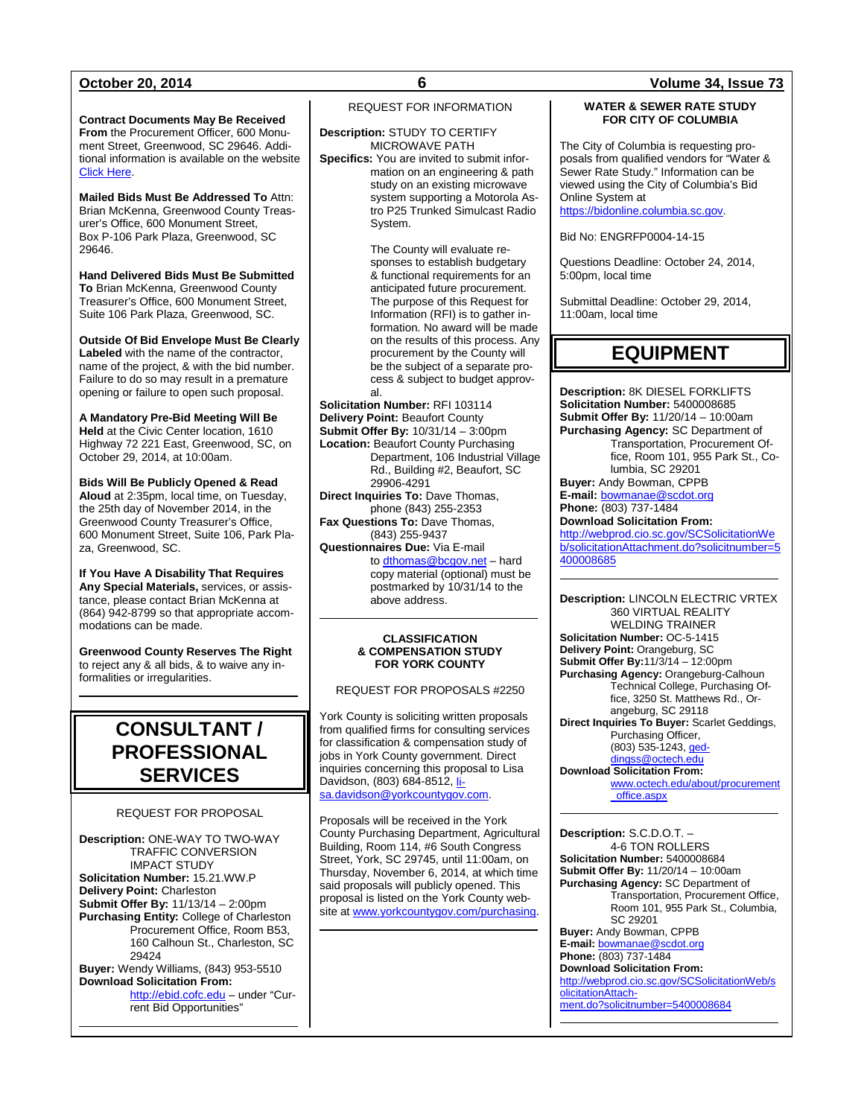**Contract Documents May Be Received From** the Procurement Officer, 600 Monument Street, Greenwood, SC 29646. Additional information is available on the website [Click Here.](http://www.greenwoodsc.gov/countywebsite/index.aspx?page=572)

**Mailed Bids Must Be Addressed To** Attn: Brian McKenna, Greenwood County Treasurer's Office, 600 Monument Street, Box P-106 Park Plaza, Greenwood, SC 29646.

**Hand Delivered Bids Must Be Submitted To** Brian McKenna, Greenwood County Treasurer's Office, 600 Monument Street, Suite 106 Park Plaza, Greenwood, SC.

**Outside Of Bid Envelope Must Be Clearly Labeled** with the name of the contractor, name of the project, & with the bid number. Failure to do so may result in a premature opening or failure to open such proposal.

**A Mandatory Pre-Bid Meeting Will Be Held** at the Civic Center location, 1610 Highway 72 221 East, Greenwood, SC, on October 29, 2014, at 10:00am.

**Bids Will Be Publicly Opened & Read Aloud** at 2:35pm, local time, on Tuesday, the 25th day of November 2014, in the Greenwood County Treasurer's Office, 600 Monument Street, Suite 106, Park Plaza, Greenwood, SC.

**If You Have A Disability That Requires Any Special Materials,** services, or assistance, please contact Brian McKenna at (864) 942-8799 so that appropriate accommodations can be made.

**Greenwood County Reserves The Right** to reject any & all bids, & to waive any informalities or irregularities.

## **CONSULTANT / PROFESSIONAL SERVICES**

### REQUEST FOR PROPOSAL

**Description:** ONE-WAY TO TWO-WAY TRAFFIC CONVERSION IMPACT STUDY **Solicitation Number:** 15.21.WW.P **Delivery Point:** Charleston **Submit Offer By:** 11/13/14 – 2:00pm **Purchasing Entity:** College of Charleston Procurement Office, Room B53, 160 Calhoun St., Charleston, SC 29424 **Buyer:** Wendy Williams, (843) 953-5510 **Download Solicitation From:** [http://ebid.cofc.edu](http://ebid.cofc.edu/) – under "Cur-

rent Bid Opportunities"

REQUEST FOR INFORMATION

**Description:** STUDY TO CERTIFY MICROWAVE PATH **Specifics:** You are invited to submit information on an engineering & path study on an existing microwave system supporting a Motorola Astro P25 Trunked Simulcast Radio System.

> The County will evaluate responses to establish budgetary & functional requirements for an anticipated future procurement. The purpose of this Request for Information (RFI) is to gather information. No award will be made on the results of this process. Any procurement by the County will be the subject of a separate process & subject to budget approval.

**Solicitation Number:** RFI 103114 **Delivery Point:** Beaufort County **Submit Offer By:** 10/31/14 – 3:00pm **Location:** Beaufort County Purchasing Department, 106 Industrial Village Rd., Building #2, Beaufort, SC 29906-4291

**Direct Inquiries To:** Dave Thomas, phone (843) 255-2353

**Fax Questions To:** Dave Thomas, (843) 255-9437

**Questionnaires Due:** Via E-mail t[o dthomas@bcgov.net](mailto:dthomas@bcgov.net) - hard copy material (optional) must be postmarked by 10/31/14 to the above address.

### **CLASSIFICATION & COMPENSATION STUDY FOR YORK COUNTY**

REQUEST FOR PROPOSALS #2250

York County is soliciting written proposals from qualified firms for consulting services for classification & compensation study of jobs in York County government. Direct inquiries concerning this proposal to Lisa Davidson, (803) 684-8512[, li](mailto:lisa.davidson@yorkcountygov.com)[sa.davidson@yorkcountygov.com.](mailto:lisa.davidson@yorkcountygov.com)

Proposals will be received in the York County Purchasing Department, Agricultural Building, Room 114, #6 South Congress Street, York, SC 29745, until 11:00am, on Thursday, November 6, 2014, at which time said proposals will publicly opened. This proposal is listed on the York County website a[t www.yorkcountygov.com/purchasing.](http://www.yorkcountygov.com/purchasing)

### **October 20, 2014 6 Volume 34, Issue 73**

### **WATER & SEWER RATE STUDY FOR CITY OF COLUMBIA**

The City of Columbia is requesting proposals from qualified vendors for "Water & Sewer Rate Study." Information can be viewed using the City of Columbia's Bid Online System at [https://bidonline.columbia.sc.gov.](https://bidonline.columbia.sc.gov/)

Bid No: ENGRFP0004-14-15

Questions Deadline: October 24, 2014, 5:00pm, local time

Submittal Deadline: October 29, 2014, 11:00am, local time

## **EQUIPMENT**

**Description:** 8K DIESEL FORKLIFTS **Solicitation Number:** 5400008685 **Submit Offer By:** 11/20/14 – 10:00am **Purchasing Agency:** SC Department of Transportation, Procurement Office, Room 101, 955 Park St., Columbia, SC 29201 **Buyer:** Andy Bowman, CPPB **E-mail:** [bowmanae@scdot.org](mailto:bowmanae@scdot.org) **Phone:** (803) 737-1484 **Download Solicitation From:** [http://webprod.cio.sc.gov/SCSolicitationWe](http://webprod.cio.sc.gov/SCSolicitationWeb/solicitationAttachment.do?solicitnumber=5400008685) [b/solicitationAttachment.do?solicitnumber=5](http://webprod.cio.sc.gov/SCSolicitationWeb/solicitationAttachment.do?solicitnumber=5400008685) [400008685](http://webprod.cio.sc.gov/SCSolicitationWeb/solicitationAttachment.do?solicitnumber=5400008685)

**Description:** LINCOLN ELECTRIC VRTEX 360 VIRTUAL REALITY WELDING TRAINER **Solicitation Number:** OC-5-1415 **Delivery Point:** Orangeburg, SC **Submit Offer By:**11/3/14 – 12:00pm **Purchasing Agency:** Orangeburg-Calhoun Technical College, Purchasing Office, 3250 St. Matthews Rd., Orangeburg, SC 29118 **Direct Inquiries To Buyer:** Scarlet Geddings, Purchasing Officer,  $(803)$  535-1243,  $ged$ <br>dingss@octech.edu</u> s@octech.edu **Download Solicitation From:** [www.octech.edu/about/procurement](http://www.octech.edu/about/procurement_office.aspx)

[\\_office.aspx](http://www.octech.edu/about/procurement_office.aspx)

**Description:** S.C.D.O.T. – 4-6 TON ROLLERS **Solicitation Number:** 5400008684 **Submit Offer By:** 11/20/14 – 10:00am **Purchasing Agency:** SC Department of Transportation, Procurement Office, Room 101, 955 Park St., Columbia, SC 29201 **Buyer:** Andy Bowman, CPPB **E-mail:** [bowmanae@scdot.org](mailto:bowmanae@scdot.org) **Phone:** (803) 737-1484 **Download Solicitation From:** [http://webprod.cio.sc.gov/SCSolicitationWeb/s](http://webprod.cio.sc.gov/SCSolicitationWeb/solicitationAttachment.do?solicitnumber=5400008684) [olicitationAttach](http://webprod.cio.sc.gov/SCSolicitationWeb/solicitationAttachment.do?solicitnumber=5400008684)[ment.do?solicitnumber=5400008684](http://webprod.cio.sc.gov/SCSolicitationWeb/solicitationAttachment.do?solicitnumber=5400008684)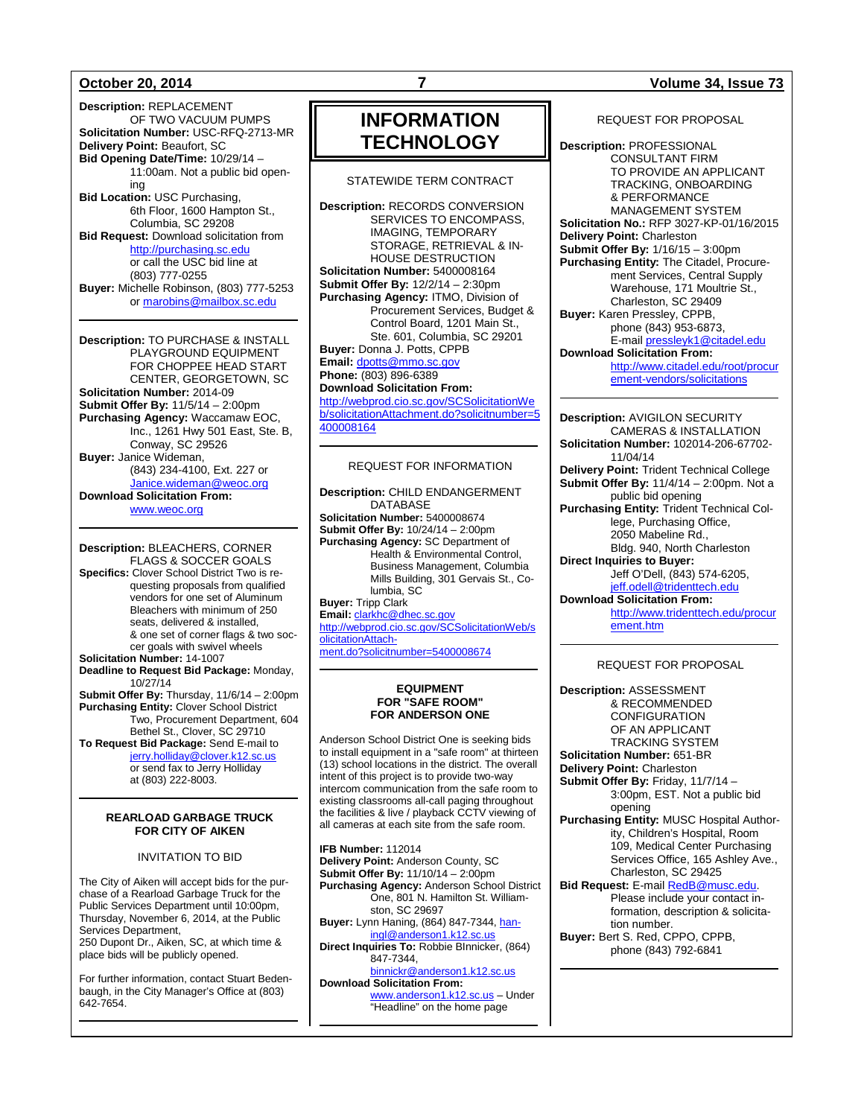**Description:** REPLACEMENT OF TWO VACUUM PUMPS **Solicitation Number:** USC-RFQ-2713-MR **Delivery Point:** Beaufort, SC **Bid Opening Date/Time:** 10/29/14 – 11:00am. Not a public bid opening **Bid Location:** USC Purchasing, 6th Floor, 1600 Hampton St., Columbia, SC 29208 **Bid Request:** Download solicitation from [http://purchasing.sc.edu](http://purchasing.sc.edu/) or call the USC bid line at (803) 777-0255 **Buyer:** Michelle Robinson, (803) 777-5253 o[r marobins@mailbox.sc.edu](mailto:marobins@mailbox.sc.edu)

**Description:** TO PURCHASE & INSTALL PLAYGROUND EQUIPMENT FOR CHOPPEE HEAD START CENTER, GEORGETOWN, SC **Solicitation Number:** 2014-09 **Submit Offer By:** 11/5/14 – 2:00pm **Purchasing Agency:** Waccamaw EOC, Inc., 1261 Hwy 501 East, Ste. B, Conway, SC 29526 **Buyer:** Janice Wideman, (843) 234-4100, Ext. 227 or [Janice.wideman@weoc.org](mailto:Janice.wideman@weoc.org) **Download Solicitation From:**

[www.weoc.org](http://www.weoc.org/)

**Description:** BLEACHERS, CORNER FLAGS & SOCCER GOALS **Specifics:** Clover School District Two is requesting proposals from qualified vendors for one set of Aluminum Bleachers with minimum of 250 seats, delivered & installed, & one set of corner flags & two soccer goals with swivel wheels **Solicitation Number:** 14-1007 **Deadline to Request Bid Package:** Monday, 10/27/14 **Submit Offer By:** Thursday, 11/6/14 – 2:00pm

**Purchasing Entity:** Clover School District Two, Procurement Department, 604 Bethel St., Clover, SC 29710 **To Request Bid Package:** Send E-mail to

[jerry.holliday@clover.k12.sc.us](mailto:jerry.holliday@clover.k12.sc.us) or send fax to Jerry Holliday at (803) 222-8003.

### **REARLOAD GARBAGE TRUCK FOR CITY OF AIKEN**

### INVITATION TO BID

The City of Aiken will accept bids for the purchase of a Rearload Garbage Truck for the Public Services Department until 10:00pm, Thursday, November 6, 2014, at the Public Services Department, 250 Dupont Dr., Aiken, SC, at which time & place bids will be publicly opened.

For further information, contact Stuart Bedenbaugh, in the City Manager's Office at (803) 642-7654.

## **INFORMATION TECHNOLOGY**

### STATEWIDE TERM CONTRACT

**Description:** RECORDS CONVERSION SERVICES TO ENCOMPASS, IMAGING, TEMPORARY STORAGE, RETRIEVAL & IN-HOUSE DESTRUCTION **Solicitation Number:** 5400008164 **Submit Offer By:** 12/2/14 – 2:30pm **Purchasing Agency:** ITMO, Division of Procurement Services, Budget & Control Board, 1201 Main St., Ste. 601, Columbia, SC 29201 **Buyer:** Donna J. Potts, CPPB **Email:** [dpotts@mmo.sc.gov](mailto:dpotts@mmo.sc.gov) **Phone:** (803) 896-6389 **Download Solicitation From:** [http://webprod.cio.sc.gov/SCSolicitationWe](http://webprod.cio.sc.gov/SCSolicitationWeb/solicitationAttachment.do?solicitnumber=5400008164) [b/solicitationAttachment.do?solicitnumber=5](http://webprod.cio.sc.gov/SCSolicitationWeb/solicitationAttachment.do?solicitnumber=5400008164) [400008164](http://webprod.cio.sc.gov/SCSolicitationWeb/solicitationAttachment.do?solicitnumber=5400008164)

### REQUEST FOR INFORMATION

**Description:** CHILD ENDANGERMENT DATABASE **Solicitation Number:** 5400008674 **Submit Offer By:** 10/24/14 – 2:00pm **Purchasing Agency:** SC Department of Health & Environmental Control, Business Management, Columbia Mills Building, 301 Gervais St., Columbia, SC **Buyer:** Tripp Clark **Email:** [clarkhc@dhec.sc.gov](mailto:clarkhc@dhec.sc.gov) [http://webprod.cio.sc.gov/SCSolicitationWeb/s](http://webprod.cio.sc.gov/SCSolicitationWeb/solicitationAttachment.do?solicitnumber=5400008674) [olicitationAttach-](http://webprod.cio.sc.gov/SCSolicitationWeb/solicitationAttachment.do?solicitnumber=5400008674)

[ment.do?solicitnumber=5400008674](http://webprod.cio.sc.gov/SCSolicitationWeb/solicitationAttachment.do?solicitnumber=5400008674)

### **EQUIPMENT FOR "SAFE ROOM" FOR ANDERSON ONE**

Anderson School District One is seeking bids to install equipment in a "safe room" at thirteen (13) school locations in the district. The overall intent of this project is to provide two-way intercom communication from the safe room to existing classrooms all-call paging throughout the facilities & live / playback CCTV viewing of all cameras at each site from the safe room.

**IFB Number:** 112014 **Delivery Point:** Anderson County, SC **Submit Offer By:** 11/10/14 – 2:00pm **Purchasing Agency:** Anderson School District One, 801 N. Hamilton St. Williamston, SC 29697 **Buyer:** Lynn Haning, (864) 847-7344[, han](mailto:haningl@anderson1.k12.sc.us)[ingl@anderson1.k12.sc.us](mailto:haningl@anderson1.k12.sc.us) **Direct Inquiries To:** Robbie BInnicker, (864) 847-7344, [binnickr@anderson1.k12.sc.us](mailto:binnickr@anderson1.k12.sc.us) **Download Solicitation From:** [www.anderson1.k12.sc.us](http://www.anderson1.k12.sc.us/) – Under "Headline" on the home page

### **October 20, 2014 7 Volume 34, Issue 73**

REQUEST FOR PROPOSAL

**Description:** PROFESSIONAL CONSULTANT FIRM TO PROVIDE AN APPLICANT TRACKING, ONBOARDING & PERFORMANCE MANAGEMENT SYSTEM **Solicitation No.:** RFP 3027-KP-01/16/2015 **Delivery Point:** Charleston **Submit Offer By:** 1/16/15 – 3:00pm **Purchasing Entity:** The Citadel, Procurement Services, Central Supply Warehouse, 171 Moultrie St., Charleston, SC 29409 **Buyer:** Karen Pressley, CPPB, phone (843) 953-6873, E-mai[l pressleyk1@citadel.edu](mailto:pressleyk1@citadel.edu) **Download Solicitation From:**  [http://www.citadel.edu/root/procur](http://www.citadel.edu/root/procurement-vendors/solicitations) [ement-vendors/solicitations](http://www.citadel.edu/root/procurement-vendors/solicitations) 

**Description:** AVIGILON SECURITY CAMERAS & INSTALLATION **Solicitation Number:** 102014-206-67702- 11/04/14 **Delivery Point:** Trident Technical College **Submit Offer By:** 11/4/14 – 2:00pm. Not a public bid opening **Purchasing Entity:** Trident Technical College, Purchasing Office, 2050 Mabeline Rd., Bldg. 940, North Charleston **Direct Inquiries to Buyer:** Jeff O'Dell, (843) 574-6205, [jeff.odell@tridenttech.edu](mailto:jeff.odell@tridenttech.edu) **Download Solicitation From:** [http://www.tridenttech.edu/procur](http://www.tridenttech.edu/procurement.htm) [ement.htm](http://www.tridenttech.edu/procurement.htm)

REQUEST FOR PROPOSAL

**Description:** ASSESSMENT & RECOMMENDED CONFIGURATION OF AN APPLICANT TRACKING SYSTEM **Solicitation Number:** 651-BR **Delivery Point:** Charleston **Submit Offer By:** Friday, 11/7/14 – 3:00pm, EST. Not a public bid opening **Purchasing Entity:** MUSC Hospital Authority, Children's Hospital, Room 109, Medical Center Purchasing Services Office, 165 Ashley Ave., Charleston, SC 29425 **Bid Request:** E-mail **RedB@musc.edu.** Please include your contact information, description & solicitation number. **Buyer:** Bert S. Red, CPPO, CPPB,

phone (843) 792-6841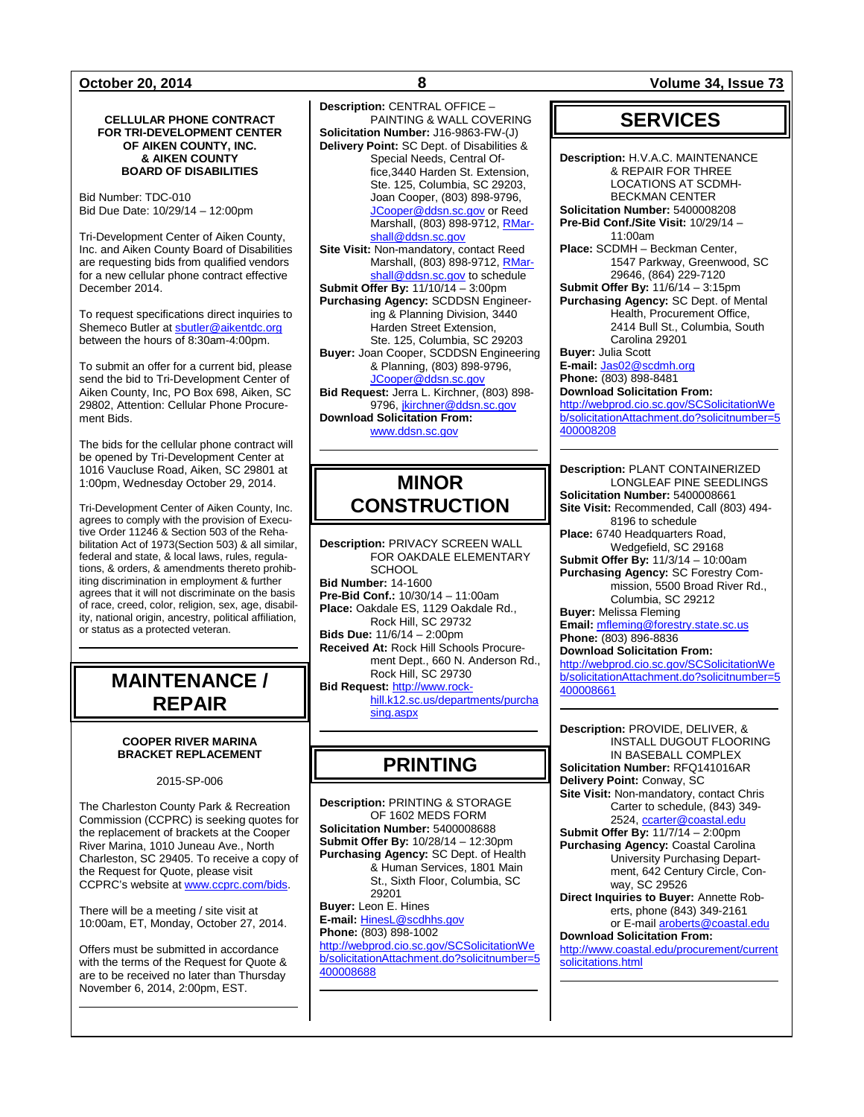### **CELLULAR PHONE CONTRACT FOR TRI-DEVELOPMENT CENTER OF AIKEN COUNTY, INC. & AIKEN COUNTY BOARD OF DISABILITIES**

Bid Number: TDC-010 Bid Due Date: 10/29/14 – 12:00pm

Tri-Development Center of Aiken County, Inc. and Aiken County Board of Disabilities are requesting bids from qualified vendors for a new cellular phone contract effective December 2014.

To request specifications direct inquiries to Shemeco Butler at [sbutler@aikentdc.org](mailto:sbutler@aikentdc.org) between the hours of 8:30am-4:00pm.

To submit an offer for a current bid, please send the bid to Tri-Development Center of Aiken County, Inc, PO Box 698, Aiken, SC 29802, Attention: Cellular Phone Procurement Bids.

The bids for the cellular phone contract will be opened by Tri-Development Center at 1016 Vaucluse Road, Aiken, SC 29801 at 1:00pm, Wednesday October 29, 2014.

Tri-Development Center of Aiken County, Inc. agrees to comply with the provision of Executive Order 11246 & Section 503 of the Rehabilitation Act of 1973(Section 503) & all similar, federal and state, & local laws, rules, regulations, & orders, & amendments thereto prohibiting discrimination in employment & further agrees that it will not discriminate on the basis of race, creed, color, religion, sex, age, disability, national origin, ancestry, political affiliation, or status as a protected veteran.

## **MAINTENANCE / REPAIR**

### **COOPER RIVER MARINA BRACKET REPLACEMENT**

2015-SP-006

The Charleston County Park & Recreation Commission (CCPRC) is seeking quotes for the replacement of brackets at the Cooper River Marina, 1010 Juneau Ave., North Charleston, SC 29405. To receive a copy of the Request for Quote, please visit CCPRC's website at [www.ccprc.com/bids.](http://www.ccprc.com/bids)

There will be a meeting / site visit at 10:00am, ET, Monday, October 27, 2014.

Offers must be submitted in accordance with the terms of the Request for Quote & are to be received no later than Thursday November 6, 2014, 2:00pm, EST.

**Description:** CENTRAL OFFICE – PAINTING & WALL COVERING **Solicitation Number:** J16-9863-FW-(J) **Delivery Point:** SC Dept. of Disabilities & Special Needs, Central Office,3440 Harden St. Extension, Ste. 125, Columbia, SC 29203, Joan Cooper, (803) 898-9796, [JCooper@ddsn.sc.gov](mailto:JCooper@ddsn.sc.gov) or Reed Marshall, (803) 898-9712[, RMar](mailto:RMarshall@ddsn.sc.gov)[shall@ddsn.sc.gov](mailto:RMarshall@ddsn.sc.gov) **Site Visit:** Non-mandatory, contact Reed Marshall, (803) 898-9712[, RMar](mailto:RMarshall@ddsn.sc.gov)[shall@ddsn.sc.gov](mailto:RMarshall@ddsn.sc.gov) to schedule **Submit Offer By:** 11/10/14 – 3:00pm **Purchasing Agency:** SCDDSN Engineering & Planning Division, 3440 Harden Street Extension, Ste. 125, Columbia, SC 29203 **Buyer:** Joan Cooper, SCDDSN Engineering & Planning, (803) 898-9796, [JCooper@ddsn.sc.gov](mailto:JCooper@ddsn.sc.gov) **Bid Request:** Jerra L. Kirchner, (803) 898- 9796[, jkirchner@ddsn.sc.gov](mailto:jkirchner@ddsn.sc.gov) **Download Solicitation From:** [www.ddsn.sc.gov](http://www.ddsn.sc.gov/)

## **MINOR CONSTRUCTION**

**Description:** PRIVACY SCREEN WALL FOR OAKDALE ELEMENTARY **SCHOOL Bid Number:** 14-1600 **Pre-Bid Conf.:** 10/30/14 – 11:00am **Place:** Oakdale ES, 1129 Oakdale Rd., Rock Hill, SC 29732 **Bids Due:** 11/6/14 – 2:00pm **Received At:** Rock Hill Schools Procurement Dept., 660 N. Anderson Rd., Rock Hill, SC 29730 **Bid Request:** [http://www.rock](http://www.rock-hill.k12.sc.us/departments/purchasing.aspx)[hill.k12.sc.us/departments/purcha](http://www.rock-hill.k12.sc.us/departments/purchasing.aspx) [sing.aspx](http://www.rock-hill.k12.sc.us/departments/purchasing.aspx)

## **PRINTING**

**Description:** PRINTING & STORAGE OF 1602 MEDS FORM **Solicitation Number:** 5400008688 **Submit Offer By:** 10/28/14 – 12:30pm **Purchasing Agency:** SC Dept. of Health & Human Services, 1801 Main St., Sixth Floor, Columbia, SC 29201 **Buyer:** Leon E. Hines **E-mail:** [HinesL@scdhhs.gov](mailto:HinesL@scdhhs.gov) **Phone:** (803) 898-1002 [http://webprod.cio.sc.gov/SCSolicitationWe](http://webprod.cio.sc.gov/SCSolicitationWeb/solicitationAttachment.do?solicitnumber=5400008688) [b/solicitationAttachment.do?solicitnumber=5](http://webprod.cio.sc.gov/SCSolicitationWeb/solicitationAttachment.do?solicitnumber=5400008688) [400008688](http://webprod.cio.sc.gov/SCSolicitationWeb/solicitationAttachment.do?solicitnumber=5400008688)

**October 20, 2014 8 Volume 34, Issue 73**

## **SERVICES**

**Description:** H.V.A.C. MAINTENANCE & REPAIR FOR THREE LOCATIONS AT SCDMH-BECKMAN CENTER **Solicitation Number:** 5400008208 **Pre-Bid Conf./Site Visit:** 10/29/14 – 11:00am **Place:** SCDMH – Beckman Center, 1547 Parkway, Greenwood, SC 29646, (864) 229-7120 **Submit Offer By:** 11/6/14 – 3:15pm **Purchasing Agency:** SC Dept. of Mental Health, Procurement Office, 2414 Bull St., Columbia, South Carolina 29201 **Buyer:** Julia Scott **E-mail:** [Jas02@scdmh.org](mailto:Jas02@scdmh.org) **Phone:** (803) 898-8481 **Download Solicitation From:** [http://webprod.cio.sc.gov/SCSolicitationWe](http://webprod.cio.sc.gov/SCSolicitationWeb/solicitationAttachment.do?solicitnumber=5400008208) [b/solicitationAttachment.do?solicitnumber=5](http://webprod.cio.sc.gov/SCSolicitationWeb/solicitationAttachment.do?solicitnumber=5400008208) [400008208](http://webprod.cio.sc.gov/SCSolicitationWeb/solicitationAttachment.do?solicitnumber=5400008208)

**Description:** PLANT CONTAINERIZED LONGLEAF PINE SEEDLINGS **Solicitation Number:** 5400008661 **Site Visit:** Recommended, Call (803) 494- 8196 to schedule **Place:** 6740 Headquarters Road, Wedgefield, SC 29168 **Submit Offer By:** 11/3/14 – 10:00am **Purchasing Agency:** SC Forestry Commission, 5500 Broad River Rd., Columbia, SC 29212 **Buyer:** Melissa Fleming **Email:** [mfleming@forestry.state.sc.us](mailto:mfleming@forestry.state.sc.us) **Phone:** (803) 896-8836 **Download Solicitation From:**

[http://webprod.cio.sc.gov/SCSolicitationWe](http://webprod.cio.sc.gov/SCSolicitationWeb/solicitationAttachment.do?solicitnumber=5400008661) [b/solicitationAttachment.do?solicitnumber=5](http://webprod.cio.sc.gov/SCSolicitationWeb/solicitationAttachment.do?solicitnumber=5400008661) [400008661](http://webprod.cio.sc.gov/SCSolicitationWeb/solicitationAttachment.do?solicitnumber=5400008661)

**Description:** PROVIDE, DELIVER, & INSTALL DUGOUT FLOORING IN BASEBALL COMPLEX **Solicitation Number:** RFQ141016AR **Delivery Point:** Conway, SC **Site Visit:** Non-mandatory, contact Chris Carter to schedule, (843) 349- 2524, [ccarter@coastal.edu](mailto:ccarter@coastal.edu) **Submit Offer By:** 11/7/14 – 2:00pm **Purchasing Agency:** Coastal Carolina University Purchasing Department, 642 Century Circle, Conway, SC 29526 **Direct Inquiries to Buyer:** Annette Roberts, phone (843) 349-2161 or E-mai[l aroberts@coastal.edu](mailto:aroberts@coastal.edu) **Download Solicitation From:** [http://www.coastal.edu/procurement/current](http://www.coastal.edu/procurement/currentsolicitations.html)

[solicitations.html](http://www.coastal.edu/procurement/currentsolicitations.html)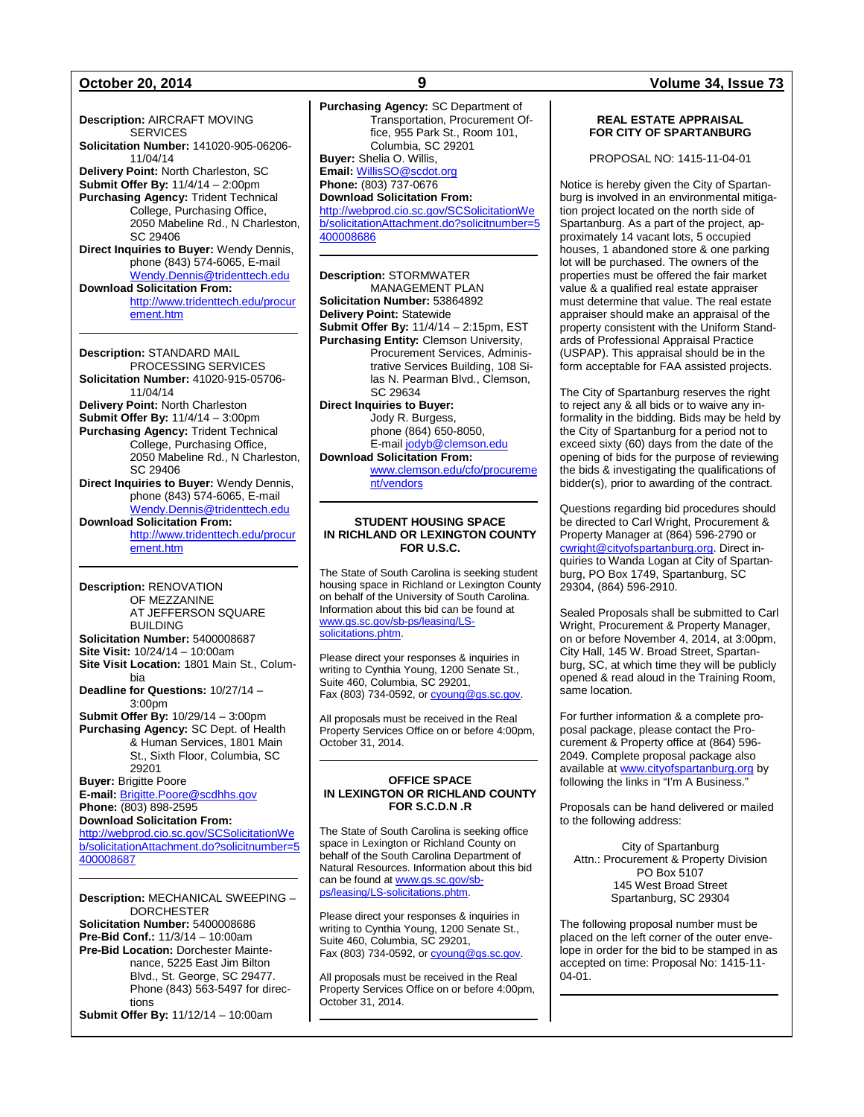**Description:** AIRCRAFT MOVING **SERVICES Solicitation Number:** 141020-905-06206- 11/04/14 **Delivery Point:** North Charleston, SC **Submit Offer By:** 11/4/14 – 2:00pm **Purchasing Agency:** Trident Technical College, Purchasing Office, 2050 Mabeline Rd., N Charleston, SC 29406 **Direct Inquiries to Buyer:** Wendy Dennis, phone (843) 574-6065, E-mail [Wendy.Dennis@tridenttech.edu](mailto:Wendy.Dennis@tridenttech.edu) **Download Solicitation From:** [http://www.tridenttech.edu/procur](http://www.tridenttech.edu/procurement.htm) [ement.htm](http://www.tridenttech.edu/procurement.htm)

**Description:** STANDARD MAIL PROCESSING SERVICES **Solicitation Number:** 41020-915-05706- 11/04/14 **Delivery Point:** North Charleston **Submit Offer By:** 11/4/14 – 3:00pm **Purchasing Agency:** Trident Technical College, Purchasing Office, 2050 Mabeline Rd., N Charleston, SC 29406 **Direct Inquiries to Buyer:** Wendy Dennis, phone (843) 574-6065, E-mail [Wendy.Dennis@tridenttech.edu](mailto:Wendy.Dennis@tridenttech.edu) **Download Solicitation From:** [http://www.tridenttech.edu/procur](http://www.tridenttech.edu/procurement.htm) [ement.htm](http://www.tridenttech.edu/procurement.htm)

**Description:** RENOVATION OF MEZZANINE AT JEFFERSON SQUARE BUILDING **Solicitation Number:** 5400008687 **Site Visit:** 10/24/14 – 10:00am **Site Visit Location:** 1801 Main St., Columbia **Deadline for Questions:** 10/27/14 – 3:00pm **Submit Offer By:** 10/29/14 – 3:00pm **Purchasing Agency:** SC Dept. of Health & Human Services, 1801 Main St., Sixth Floor, Columbia, SC 29201 **Buyer:** Brigitte Poore **E-mail:** [Brigitte.Poore@scdhhs.gov](mailto:Brigitte.Poore@scdhhs.gov) **Phone:** (803) 898-2595 **Download Solicitation From:** [http://webprod.cio.sc.gov/SCSolicitationWe](http://webprod.cio.sc.gov/SCSolicitationWeb/solicitationAttachment.do?solicitnumber=5400008687)

[b/solicitationAttachment.do?solicitnumber=5](http://webprod.cio.sc.gov/SCSolicitationWeb/solicitationAttachment.do?solicitnumber=5400008687) [400008687](http://webprod.cio.sc.gov/SCSolicitationWeb/solicitationAttachment.do?solicitnumber=5400008687)

**Description:** MECHANICAL SWEEPING – DORCHESTER **Solicitation Number:** 5400008686 **Pre-Bid Conf.:** 11/3/14 – 10:00am **Pre-Bid Location:** Dorchester Maintenance, 5225 East Jim Bilton Blvd., St. George, SC 29477. Phone (843) 563-5497 for directions

**Submit Offer By:** 11/12/14 – 10:00am

**Purchasing Agency:** SC Department of Transportation, Procurement Office, 955 Park St., Room 101, Columbia, SC 29201 **Buyer:** Shelia O. Willis, **Email:** [WillisSO@scdot.org](mailto:WillisSO@scdot.org) **Phone:** (803) 737-0676 **Download Solicitation From:** [http://webprod.cio.sc.gov/SCSolicitationWe](http://webprod.cio.sc.gov/SCSolicitationWeb/solicitationAttachment.do?solicitnumber=5400008686) [b/solicitationAttachment.do?solicitnumber=5](http://webprod.cio.sc.gov/SCSolicitationWeb/solicitationAttachment.do?solicitnumber=5400008686) [400008686](http://webprod.cio.sc.gov/SCSolicitationWeb/solicitationAttachment.do?solicitnumber=5400008686)

**Description:** STORMWATER MANAGEMENT PLAN **Solicitation Number:** 53864892 **Delivery Point:** Statewide **Submit Offer By:** 11/4/14 – 2:15pm, EST **Purchasing Entity:** Clemson University, Procurement Services, Administrative Services Building, 108 Silas N. Pearman Blvd., Clemson, SC 29634 **Direct Inquiries to Buyer:** Jody R. Burgess,

phone (864) 650-8050, E-mai[l jodyb@clemson.edu](mailto:jodyb@clemson.edu) **Download Solicitation From:**

[www.clemson.edu/cfo/procureme](http://www.clemson.edu/cfo/procurement/vendors) [nt/vendors](http://www.clemson.edu/cfo/procurement/vendors)

### **STUDENT HOUSING SPACE IN RICHLAND OR LEXINGTON COUNTY FOR U.S.C.**

The State of South Carolina is seeking student housing space in Richland or Lexington County on behalf of the University of South Carolina. Information about this bid can be found at [www.gs.sc.gov/sb-ps/leasing/LS](http://www.gs.sc.gov/sb-ps/leasing/LS-solicitations.phtm)[solicitations.phtm.](http://www.gs.sc.gov/sb-ps/leasing/LS-solicitations.phtm)

Please direct your responses & inquiries in writing to Cynthia Young, 1200 Senate St., Suite 460, Columbia, SC 29201, Fax (803) 734-0592, o[r cyoung@gs.sc.gov.](mailto:cyoung@gs.sc.gov)

All proposals must be received in the Real Property Services Office on or before 4:00pm, October 31, 2014.

### **OFFICE SPACE IN LEXINGTON OR RICHLAND COUNTY FOR S.C.D.N .R**

The State of South Carolina is seeking office space in Lexington or Richland County on behalf of the South Carolina Department of Natural Resources. Information about this bid can be found a[t www.gs.sc.gov/sb](http://www.gs.sc.gov/sb-ps/leasing/LS-solicitations.phtm)[ps/leasing/LS-solicitations.phtm.](http://www.gs.sc.gov/sb-ps/leasing/LS-solicitations.phtm)

Please direct your responses & inquiries in writing to Cynthia Young, 1200 Senate St., Suite 460, Columbia, SC 29201, Fax (803) 734-0592, o[r cyoung@gs.sc.gov.](mailto:cyoung@gs.sc.gov)

All proposals must be received in the Real Property Services Office on or before 4:00pm, October 31, 2014.

### **October 20, 2014 9 Volume 34, Issue 73**

### **REAL ESTATE APPRAISAL FOR CITY OF SPARTANBURG**

PROPOSAL NO: 1415-11-04-01

Notice is hereby given the City of Spartanburg is involved in an environmental mitigation project located on the north side of Spartanburg. As a part of the project, approximately 14 vacant lots, 5 occupied houses, 1 abandoned store & one parking lot will be purchased. The owners of the properties must be offered the fair market value & a qualified real estate appraiser must determine that value. The real estate appraiser should make an appraisal of the property consistent with the Uniform Standards of Professional Appraisal Practice (USPAP). This appraisal should be in the form acceptable for FAA assisted projects.

The City of Spartanburg reserves the right to reject any & all bids or to waive any informality in the bidding. Bids may be held by the City of Spartanburg for a period not to exceed sixty (60) days from the date of the opening of bids for the purpose of reviewing the bids & investigating the qualifications of bidder(s), prior to awarding of the contract.

Questions regarding bid procedures should be directed to Carl Wright, Procurement & Property Manager at (864) 596-2790 or [cwright@cityofspartanburg.org.](mailto:cwright@cityofspartanburg.org) Direct inquiries to Wanda Logan at City of Spartanburg, PO Box 1749, Spartanburg, SC 29304, (864) 596-2910.

Sealed Proposals shall be submitted to Carl Wright, Procurement & Property Manager, on or before November 4, 2014, at 3:00pm, City Hall, 145 W. Broad Street, Spartanburg, SC, at which time they will be publicly opened & read aloud in the Training Room, same location.

For further information & a complete proposal package, please contact the Procurement & Property office at (864) 596- 2049. Complete proposal package also available a[t www.cityofspartanburg.org](http://www.cityofspartanburg.org/) by following the links in "I'm A Business."

Proposals can be hand delivered or mailed to the following address:

City of Spartanburg Attn.: Procurement & Property Division PO Box 5107 145 West Broad Street Spartanburg, SC 29304

The following proposal number must be placed on the left corner of the outer envelope in order for the bid to be stamped in as accepted on time: Proposal No: 1415-11- 04-01.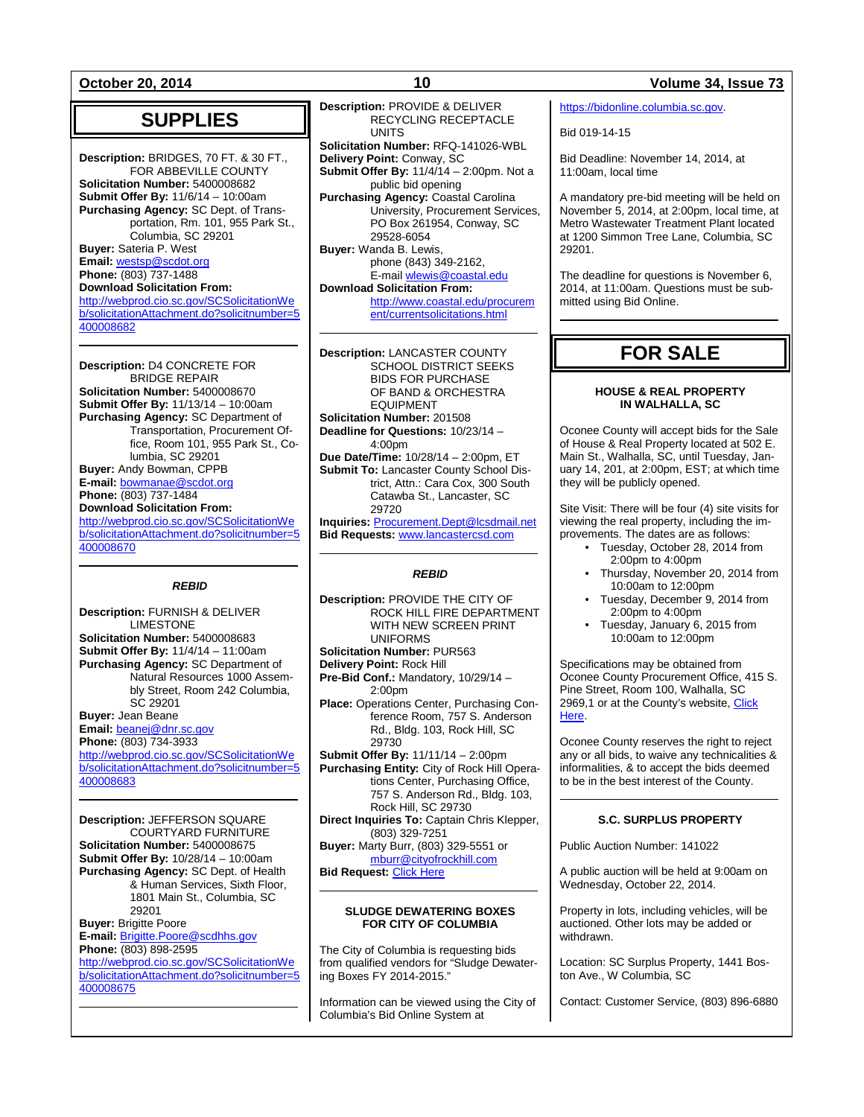**October 20, 2014 10 Volume 34, Issue 73**

### **SUPPLIES**

**Description:** BRIDGES, 70 FT. & 30 FT., FOR ABBEVILLE COUNTY **Solicitation Number:** 5400008682 **Submit Offer By:** 11/6/14 – 10:00am **Purchasing Agency:** SC Dept. of Transportation, Rm. 101, 955 Park St., Columbia, SC 29201 **Buyer:** Sateria P. West **Email:** [westsp@scdot.org](mailto:westsp@scdot.org) **Phone:** (803) 737-1488 **Download Solicitation From:** [http://webprod.cio.sc.gov/SCSolicitationWe](http://webprod.cio.sc.gov/SCSolicitationWeb/solicitationAttachment.do?solicitnumber=5400008682) [b/solicitationAttachment.do?solicitnumber=5](http://webprod.cio.sc.gov/SCSolicitationWeb/solicitationAttachment.do?solicitnumber=5400008682)

[400008682](http://webprod.cio.sc.gov/SCSolicitationWeb/solicitationAttachment.do?solicitnumber=5400008682)

**Description:** D4 CONCRETE FOR BRIDGE REPAIR **Solicitation Number:** 5400008670 **Submit Offer By:** 11/13/14 – 10:00am **Purchasing Agency:** SC Department of Transportation, Procurement Office, Room 101, 955 Park St., Columbia, SC 29201 **Buyer:** Andy Bowman, CPPB **E-mail:** [bowmanae@scdot.org](mailto:bowmanae@scdot.org) **Phone:** (803) 737-1484 **Download Solicitation From:** [http://webprod.cio.sc.gov/SCSolicitationWe](http://webprod.cio.sc.gov/SCSolicitationWeb/solicitationAttachment.do?solicitnumber=5400008670) [b/solicitationAttachment.do?solicitnumber=5](http://webprod.cio.sc.gov/SCSolicitationWeb/solicitationAttachment.do?solicitnumber=5400008670) [400008670](http://webprod.cio.sc.gov/SCSolicitationWeb/solicitationAttachment.do?solicitnumber=5400008670)

### *REBID*

**Description:** FURNISH & DELIVER LIMESTONE **Solicitation Number:** 5400008683 **Submit Offer By:** 11/4/14 – 11:00am **Purchasing Agency:** SC Department of Natural Resources 1000 Assembly Street, Room 242 Columbia, SC 29201 **Buyer:** Jean Beane **Email:** [beanej@dnr.sc.gov](mailto:beanej@dnr.sc.gov) **Phone:** (803) 734-3933 [http://webprod.cio.sc.gov/SCSolicitationWe](http://webprod.cio.sc.gov/SCSolicitationWeb/solicitationAttachment.do?solicitnumber=5400008683) [b/solicitationAttachment.do?solicitnumber=5](http://webprod.cio.sc.gov/SCSolicitationWeb/solicitationAttachment.do?solicitnumber=5400008683) [400008683](http://webprod.cio.sc.gov/SCSolicitationWeb/solicitationAttachment.do?solicitnumber=5400008683)

**Description:** JEFFERSON SQUARE COURTYARD FURNITURE **Solicitation Number:** 5400008675 **Submit Offer By:** 10/28/14 – 10:00am **Purchasing Agency:** SC Dept. of Health & Human Services, Sixth Floor, 1801 Main St., Columbia, SC 29201 **Buyer:** Brigitte Poore **E-mail:** [Brigitte.Poore@scdhhs.gov](mailto:Brigitte.Poore@scdhhs.gov) **Phone:** (803) 898-2595 [http://webprod.cio.sc.gov/SCSolicitationWe](http://webprod.cio.sc.gov/SCSolicitationWeb/solicitationAttachment.do?solicitnumber=5400008675)

[b/solicitationAttachment.do?solicitnumber=5](http://webprod.cio.sc.gov/SCSolicitationWeb/solicitationAttachment.do?solicitnumber=5400008675) [400008675](http://webprod.cio.sc.gov/SCSolicitationWeb/solicitationAttachment.do?solicitnumber=5400008675)

**Description:** PROVIDE & DELIVER RECYCLING RECEPTACLE **UNITS** 

**Solicitation Number:** RFQ-141026-WBL **Delivery Point:** Conway, SC

**Submit Offer By:** 11/4/14 – 2:00pm. Not a public bid opening

**Purchasing Agency:** Coastal Carolina University, Procurement Services, PO Box 261954, Conway, SC 29528-6054

**Buyer:** Wanda B. Lewis, phone (843) 349-2162, E-mai[l wlewis@coastal.edu](mailto:wlewis@coastal.edu) **Download Solicitation From:**

[http://www.coastal.edu/procurem](http://www.coastal.edu/procurement/currentsolicitations.html) [ent/currentsolicitations.html](http://www.coastal.edu/procurement/currentsolicitations.html)

**Description:** LANCASTER COUNTY SCHOOL DISTRICT SEEKS BIDS FOR PURCHASE OF BAND & ORCHESTRA EQUIPMENT **Solicitation Number:** 201508 **Deadline for Questions:** 10/23/14 – 4:00pm **Due Date/Time:** 10/28/14 – 2:00pm, ET **Submit To:** Lancaster County School District, Attn.: Cara Cox, 300 South Catawba St., Lancaster, SC 29720

**Inquiries:** [Procurement.Dept@lcsdmail.net](mailto:Procurement.Dept@lcsdmail.net) **Bid Requests:** [www.lancastercsd.com](http://www.lancastercsd.com/)

### *REBID*

**Description:** PROVIDE THE CITY OF ROCK HILL FIRE DEPARTMENT WITH NEW SCREEN PRINT UNIFORMS **Solicitation Number:** PUR563 **Delivery Point:** Rock Hill **Pre-Bid Conf.:** Mandatory, 10/29/14 – 2:00pm **Place:** Operations Center, Purchasing Conference Room, 757 S. Anderson Rd., Bldg. 103, Rock Hill, SC 29730 **Submit Offer By:** 11/11/14 – 2:00pm **Purchasing Entity:** City of Rock Hill Operations Center, Purchasing Office, 757 S. Anderson Rd., Bldg. 103, Rock Hill, SC 29730 **Direct Inquiries To:** Captain Chris Klepper, (803) 329-7251 **Buyer:** Marty Burr, (803) 329-5551 or [mburr@cityofrockhill.com](mailto:mburr@cityofrockhill.com) **Bid Request:** [Click Here](http://cityofrockhill.com/departments/general-government/purchasing/bids-proposal-requests)

### **SLUDGE DEWATERING BOXES FOR CITY OF COLUMBIA**

The City of Columbia is requesting bids from qualified vendors for "Sludge Dewatering Boxes FY 2014-2015."

Information can be viewed using the City of Columbia's Bid Online System at

[https://bidonline.columbia.sc.gov.](https://bidonline.columbia.sc.gov/)

Bid 019-14-15

Bid Deadline: November 14, 2014, at 11:00am, local time

A mandatory pre-bid meeting will be held on November 5, 2014, at 2:00pm, local time, at Metro Wastewater Treatment Plant located at 1200 Simmon Tree Lane, Columbia, SC 29201.

The deadline for questions is November 6, 2014, at 11:00am. Questions must be submitted using Bid Online.

## **FOR SALE**

### **HOUSE & REAL PROPERTY IN WALHALLA, SC**

Oconee County will accept bids for the Sale of House & Real Property located at 502 E. Main St., Walhalla, SC, until Tuesday, January 14, 201, at 2:00pm, EST; at which time they will be publicly opened.

Site Visit: There will be four (4) site visits for viewing the real property, including the improvements. The dates are as follows:

- Tuesday, October 28, 2014 from 2:00pm to 4:00pm
- Thursday, November 20, 2014 from 10:00am to 12:00pm
- Tuesday, December 9, 2014 from 2:00pm to 4:00pm
- Tuesday, January 6, 2015 from 10:00am to 12:00pm

Specifications may be obtained from Oconee County Procurement Office, 415 S. Pine Street, Room 100, Walhalla, SC 2969,1 or at the County's website, [Click](http://www.oconeesc.com/Departments/KZ/Procurement.aspx)  [Here.](http://www.oconeesc.com/Departments/KZ/Procurement.aspx)

Oconee County reserves the right to reject any or all bids, to waive any technicalities & informalities, & to accept the bids deemed to be in the best interest of the County.

### **S.C. SURPLUS PROPERTY**

Public Auction Number: 141022

A public auction will be held at 9:00am on Wednesday, October 22, 2014.

Property in lots, including vehicles, will be auctioned. Other lots may be added or withdrawn.

Location: SC Surplus Property, 1441 Boston Ave., W Columbia, SC

Contact: Customer Service, (803) 896-6880